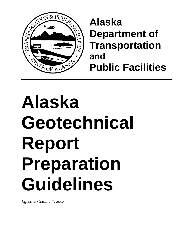

# **Alaska Department of Transportation and Public Facilities**

# **Alaska Geotechnical Report Preparation Guidelines**

*Effective October 1, 2003*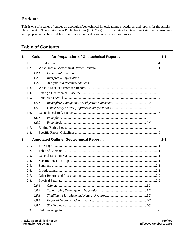# **Preface**

This is one of a series of guides on geological/geotechnical investigations, procedures, and reports for the Alaska Department of Transportation & Public Facilities (DOT&PF). This is a guide for Department staff and consultants who prepare geotechnical data reports for use in the design and construction process.

# **Table of Contents**

| 1.   |      |       |  |  |
|------|------|-------|--|--|
|      | 1.1. |       |  |  |
|      | 1.2. |       |  |  |
|      |      | 1.2.1 |  |  |
|      |      | 1.2.2 |  |  |
|      |      | 1.2.3 |  |  |
|      | 1.3. |       |  |  |
| 1.4. |      |       |  |  |
|      | 1.5. |       |  |  |
|      |      | 1.5.1 |  |  |
|      |      | 1.5.2 |  |  |
|      | 1.6. |       |  |  |
|      |      | 1.6.1 |  |  |
|      |      | 1.6.2 |  |  |
|      | 1.7. |       |  |  |
|      | 1.8. |       |  |  |
| 2.   |      |       |  |  |
|      | 2.1. |       |  |  |
|      | 2.2. |       |  |  |
|      | 2.3. |       |  |  |
|      | 2.4. |       |  |  |
|      | 2.5. |       |  |  |
|      | 2.6. |       |  |  |
|      | 2.7. |       |  |  |
|      | 2.8. |       |  |  |
|      |      |       |  |  |
|      |      | 2.8.2 |  |  |
|      |      | 2.8.3 |  |  |
|      |      | 2.8.4 |  |  |
|      |      | 2.8.5 |  |  |
|      | 2.9. |       |  |  |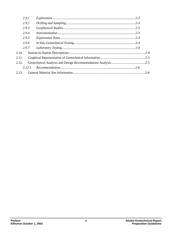| 2.9.1  |  |
|--------|--|
| 2.9.2  |  |
| 2.9.3  |  |
| 2.9.4  |  |
| 2.9.5  |  |
| 2.9.6  |  |
| 2.9.7  |  |
| 2.10.  |  |
| 2.11.  |  |
| 2.12.  |  |
| 2.12.1 |  |
|        |  |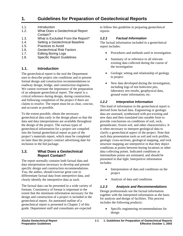# <span id="page-4-0"></span>**1. Guidelines for Preparation of Geotechnical Reports**

- 1.1. Introduction
- 1.2. What Does a Geotechnical Report Contain?
- 1.3. What is Excluded From the Report?
- 1.4. Setting a Geotechnical Baseline
- 1.5. Practices to Avoid
- 1.6. Geotechnical Risk Factors
- 1.7. Editing Boring Logs
- 1.8. Specific Report Guidelines

# **1.1. Introduction**

The geotechnical report is the tool the Department uses to describe project site conditions and to present formal design and construction recommendations to roadway design, bridge, and construction engineers. We cannot overstate the importance of the preparation of an adequate geotechnical report. The report is a critical reference during design, during construction, and following completion of the project if there are claims to resolve. The report must be as clear, concise, and accurate as possible.

To the extent possible, obtain the necessary geotechnical data early in the design phase so that the data and data interpretations are available throughout the design of the project. The various types of geotechnical information for a project are compiled into the formal geotechnical report as part of the project's materials report, which must be completed no later than the project contract advertising date for inclusion in the bid package.

#### **1.2. What Does a Geotechnical Report Contain?**

The report normally contains both factual data and data interpretation necessary to develop and present specific design and construction recommendations. You, the author, should exercise great care to differentiate factual data from interpretive data, and clearly identify the interpretive data as such.

The factual data can be presented in a wide variety of formats. Consistency of format is important to the extent that the minimum information necessary for the design and construction of a project is included in the geotechnical report. An annotated outline of a geotechnical report is presented in Chapter 2 of this guide. Department staff and consultants are expected

to follow this guideline in preparing geotechnical reports.

# *1.2.1 Factual Information*

The factual information included in a geotechnical report includes:

- Procedures and methods used in investigation
- Summary of or reference to all relevant existing data collected during the course of the investigation
- Geologic setting and relationship of geology to project
- New data developed during the investigation, including logs of test holes/test pits, laboratory test results, geophysical data, ground water information, etc.

#### *1.2.2 Interpretive Information*

This kind of information in the geotechnical report is derived from factual data. Engineering or geologic data are assessed, synthesized with pre-existing and new data and then translated into useable form to provide conclusions on conditions of soil, rock, groundwater, frozen soil, and other characteristics. It is often necessary to interpret geological data to clarify a geotechnical aspect of the project. Note that such data presentation tools as soil and rock profiles, geologic cross-sections, geological mapping, and rock structure mapping are interpretive in that they depict conditions at points between boring locations or other data collecting points. Indicated conditions at intermediate points are estimated, and should be presented in that light. Interpretive information includes:

- Interpretation of data and conditions on the project
- Analysis of data and conditions

#### *1.2.3 Analysis and Recommendations*

Design professionals use the factual information together with the interpreted information as the basis for analysis and design of facilities. This process includes the following products:

• Specific engineering recommendations for design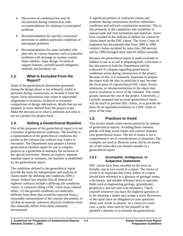- <span id="page-5-0"></span>Discussion of conditions that may be encountered during construction with recommendations for solutions to anticipated problems
- Recommendations for specific contractual provisions to address particular conditions or anticipated problems
- Recommendations for notes included with plan sets on various features, such as potential problems with drainage or erosion control, slope stability, slope design, location of support features, rockfall hazard mitigation methods and locations, etc.

#### **1.3. What Is Excluded From the Report?**

Some of the geotechnical information generated during the design phase is not ordinarily useful or pertinent during construction, so exclude it from the report. Such information may relate to superseded alignments or locations, technical or economic comparisons of design alternatives, details that are not adopted, or items deleted from the project scope. Make the decision as to what is pertinent and what is not on a project-by-project basis.

# **1.4. Setting a Geotechnical Baseline**

One of the purposes of the geotechnical report is to set a baseline of geotechnical conditions. The baseline is a representation of the geotechnical conditions the parties to the construction contract may expect to encounter. The Department may prepare a formal geotechnical baseline report for use in complex projects or a geotechnical summary for inclusion in the special provisions. Absent an explicit, separate baseline report or summary, the baseline is established by the geotechnical report.

The conditions defined in the geotechnical report provide the basis for interpretation and analysis of claims under the differing site conditions (DSC) clause. Federal law requires that all federal-aid highway contracts include a differing site conditions clause. A contractor filing a DSC claim must contend either: (1) that ground conditions are materially different from those that would be expected from a reasonable interpretation of the contract documents, or (2) that an unusual, unknown physical condition exists that materially differs from those ordinarily encountered.

A significant portion of contractor claims and problems during construction involves subsurface conditions and soil/rock construction materials. This is due primarily to the complexity and variability of natural earth and rock formations and materials. Juries have awarded in the millions of dollars for contractor claims based on the DSC clause. The Army Corps of Engineers has documented that from 1980 to 1990, contract claims escalated by more than 200 percent, and by 1990 averaged more than \$1 billion annually.

Because the geotechnical report is made available to bidders to use as an aid in preparing bids, it becomes a key document to both the Department and the contractor if a dispute regarding geotechnical conditions arises during construction of the project. Because of this, it is extremely important to prepare the report with the idea in mind that it may become the focal point of a geotechnical DSC claim. Errors, omissions, or misrepresentations in the report may lead to resolution in favor of the claimant. This could greatly increase the cost of the project. Conversely, a carefully prepared and accurate geotechnical report will do much to prevent DSC claims, or to provide the basis for an equitable resolution of a DSC claim in favor of the state.

# **1.5. Practices to Avoid**

This section details some unwise practices by authors of geotechnical reports. Avoiding these common pitfalls will help avoid claims and contract disputes over geotechnical issues. The list of issues is not a comprehensive set of considerations or situations. The examples are used to illustrate some, but by no means all, of the issues that you should consider in a geotechnical report.

#### *1.5.1 Incomplete, Ambiguous, or Subjective Statements*

DSC claims have been awarded on the basis of, literally, one or two words in a report. The choice of words is so important that every author of a report should have reference to a glossary of geologic terms, a dictionary, and reliable reference texts in specialty fields such as engineering geology, groundwater, geophysics, and soil and rock mechanics. Check yourself whenever you have the slightest question as to the meaning a reader may assign a word. Reviewers of the report have an obligation to raise questions about such words or phrases. In a claim (or court) case, a tactic often used by the plaintiff or the plaintiff's attorney is to examine the geotechnical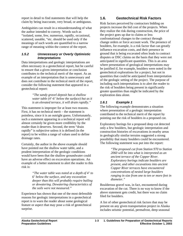<span id="page-6-0"></span>report in detail to find statements that will help the claim by being inaccurate, very broad, or ambiguous.

Ambiguities can result in a misunderstanding of what the author intended to convey. Words such as "isolated, some, few, numerous, rapidly, occasional, scattered, useable, "etc. should be used only if the meanings of such words are quantified to a narrow range of meaning within the context of the report.

#### *1.5.2 Unnecessary or Overly Optimistic Interpretations*

Data interpretations and geologic interpretations are often necessary in a geotechnical report, but be careful to ensure that a given interpretation or conclusion contributes to the technical merit of the report. As an example of an interpretation that is unnecessary and does not contribute to the technical merit of the report, consider the following statement that appeared in a geotechnical report:

> *"The sandy gravel deposit has a shallow water table (4'-6' below the surface) but as it is an elevated terrace, it will drain rapidly."*

This statement is improper for at least two reasons. First, it has no technical merit – the statement is pointless, since it is an outright guess. Unfortunately, such a statement appearing in a technical report will almost certainly be given more credibility by the reader than it deserves. Second, the term "drain rapidly" is subjective unless it is defined (in the report) to be within a range of values used to define drainage rates.

Certainly, the author in the above example should have pointed out the shallow water table, and a prudent interpretation of the geologic conditions would have been that the shallow groundwater could have an adverse effect on excavation operations. An example of a better statement to alert the reader to this risk is:

> *"The water table was noted at a depth of 4' to 6' below the surface, and any excavation deeper than this will probably require bailing or dewatering. Dewatering characteristics of the soils were not measured."*

Experience has shown that one of the most defensible reasons for geologic interpretations in a geotechnical report is to warn the reader about some geological feature or aspect that may pose a risk of geotechnical surprise.

# **1.6. Geotechnical Risk Factors**

Risk factors perceived by contractors bidding on projects increase the bid cost of the projects. When they realize the risk during construction, the price of the project goes up due to claims or less confrontational changes to the contract through change orders or force account work. The presence of boulders, for example, is a risk factor that can greatly influence excavation costs, and their presence in ground that is being excavated often leads to contract disputes or DSC claims on the basis that they were not anticipated in significant quantities. This is an area where presentation of geological interpretations may be justified if, for example, boulders were noted in the geotechnical explorations for a project, but not in quantities that could be anticipated from interpretation of the geologic setting of the project. The purpose of including such interpretations is to alert the reader to the risk of boulders being present in significantly greater quantities than might be indicated by the exploration data alone.

# *1.6.1 Example 1*

The following example demonstrates a situation where presentation of a geologic interpretation contributed to the technical merit of the report by pointing out the risk of boulders in a proposed cut.

Exploratory borings for a proposed deep cut detected only a few boulders, but geologic interpretation and construction histories of excavations in nearby areas in geologically similar terrains suggested a strong possibility that many boulders could be encountered. The following statement was put into the report:

> *"The proposed cut from Station 970 to Station 2060 will be into what is interpreted as an ancient terrace of the Copper River. Exploratory borings indicate boulders are present, and other excavations into ancient Copper River terraces have encountered concentrations of nested large boulders ranging in size from one to ten or more feet in diameter."*

Boulderous gravel was, in fact, encountered during excavation of the cut. There is no way to know if the above statement gets credit, but there was no claim filed for boulders.

A list of other geotechnical risk factors that may be present on any given transportation project in Alaska includes seismic potential, permafrost, deep seasonal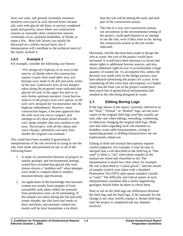<span id="page-7-0"></span>frost, wet soils, soft ground, extremely moisturesensitive soils (such as soils derived from volcanic ash, soils with glacial silt fines, or ancient weathered sands and gravels), areas where wet construction seasons or unusually short construction seasons commonly occur, potential landslides, or floods, to name a few. Most risk factors can usually be discussed on a wholly factual basis, but if interpretation will contribute to the technical merit of the report, include it.

#### *1.6.2 Example 2*

For example, consider the following case history:

*"For design of a highway in an area in the interior of Alaska where the construction season is quite short (and often wet), test borings were made in the fall and early winter of the year. Laboratory tests of soil samples taken along the proposed route indicated that glacial silt soils in the upper five feet or so were below optimum moisture. Good borrow sources in the project area were sparse, so the soils were designed for incorporation into the highway embankment. However, when construction began, it became apparent that the soils were too wet to compact, and attempts to dry them failed dismally in the cool, damp weather that was common to the area. This project, with all the claims and extra charges, ultimately cost more than double the original cost estimate."* 

This could have been avoided if geotechnical interpretations of the risk involved in trying to use the silts were made and presented on any or all of the following bases:

- 1. A study of construction histories of projects in similar geologic and environmental settings would have revealed that glacial silts were almost always a "problem soil" when attempts were made to compact them to modern moisture/density specifications.
- 2. An application of the knowledge that moisture content test results from samples of frostsusceptible soils taken within the seasonal frost penetration zone can be misleading. If the samples are taken during the fall and early winter months, the silts have had weeks to thaw and drain, and moisture content test results will be drier (sometimes a lot drier)

than the soil will be during the early and midpart of the construction season.

3. The risk of a very wet construction season, not uncommon in the environmental setting of the project, could spell disaster to an attempt to use the silts, even if they were as dry during the construction season as the test results indicated.

Obviously, had the decision been made to design the silts as waste, the cost of the project would have increased. It would have been necessary to locate and obtain rights to additional borrow sources, and also obtain additional right-of-way to accommodate a large quantity of wasted silt. To accomplish this, unless the decision was made early in the design process, may have delayed advertising the project for a year. Even considering all this extra time and expense, it is highly likely that the final cost of the project would have been much less if geotechnical interpretation had resulted in the silts being designed as waste.

# **1.7. Editing Boring Logs**

If the logs shown in the report, variously referred to as the "final," "formal," or "drafted" logs, are not exact copies of the original field logs (and they usually are not), take care when editing, rewording, condensing, or otherwise changing the original field logs. Make sure that notes regarding such risk elements as boulders, water table measurements, caving or squeezing ground, or drilling characteristics are not inadvertently edited out.

Editing of field soil textural descriptions requires careful judgment. For example, it may be easy to interpret that a soil described in the field log as "fine sand" is likely a "silt" when three samples of the stratum are tested and classified as silt. The interpretation is much less clear when, for example, the soil is described as "coarse gravel," and test results of samples (which were taken with a Standard Penetration Test (SPT) split-spoon sampler) classify as "sand." The difficulty and critical nature of such interpretations mandates that a senior engineering geologist should either do them or check them.

Note in red on the field logs any differences between the field logs and the final logs. If the rationale for the change is not clear, briefly explain it. Retain field logs until the project is completed and any disputes resolved.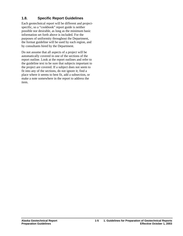# <span id="page-8-0"></span>**1.8. Specific Report Guidelines**

Each geotechnical report will be different and projectspecific, so a "cookbook" report guide is neither possible nor desirable, as long as the minimum basic information set forth above is included. For the purposes of uniformity throughout the Department, the format guideline will be used by each region, and by consultants hired by the Department.

Do not assume that all aspects of a project will be automatically covered in one of the sections of the report outline. Look at the report outlines and refer to the guideline text to be sure that subjects important to the project are covered. If a subject does not seem to fit into any of the sections, do not ignore it; find a place where it seems to best fit, add a subsection, or make a note somewhere in the report to address the item.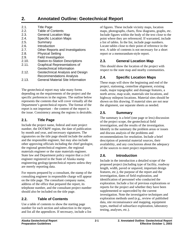# <span id="page-10-0"></span>**2. Annotated Outline: Geotechnical Report**

| 2.1.  | <b>Title Page</b>                        |
|-------|------------------------------------------|
| 2.2.  | <b>Table of Contents</b>                 |
| 2.3.  | <b>General Location Map</b>              |
| 2.4.  | <b>Specific Location Maps</b>            |
| 2.5.  | Summary                                  |
| 2.6.  | Introduction                             |
| 2.7.  | Other Reports and Investigations         |
| 2.8.  | <b>Physical Setting</b>                  |
| 2.9.  | <b>Field Investigation</b>               |
| 2.10. | <b>Station-to-Station Descriptions</b>   |
| 2.11. | <b>Graphical Representations of</b>      |
|       | Geotechnical Information                 |
| 2.12. | Geotechnical Analysis and Design         |
|       | <b>Recommendations Analysis</b>          |
| 2.13. | <b>General Material Site Information</b> |

The geotechnical report may take many forms depending on the requirements of the project and the specific preferences in the regions. The outline below represents the contents that will cover virtually all the Department's geotechnical reports. The format of the report is not important – the content of the report is the issue. Consistency among the regions is desirable.

# **2.1. Title Page**

Include the project name, federal and state project number, the DOT&PF region, the date of publication by month and year, and necessary signatures. The signatories on the title page should include the author and the responsible engineer, but may also include other approving officials including the chief geologist, the regional geotechnical engineer, the regional materials engineer or the state materials engineer. State law and Department policy require that a civil engineer registered in the State of Alaska stamp engineering geology/geotechnical reports unless they are merely reporting data.

For reports prepared by a consultant, the stamp of the consulting engineer in responsible charge will appear on the title page. The consultant company name, address of the office that prepared the report, its telephone number, and the consultant project number should also be included on the title page.

# **2.2. Table of Contents**

Use a table of contents to show the starting page number for each section and subsection in the report, and list all the appendices. If necessary, include a list of figures. These include vicinity maps, location maps, photographs, charts, flow diagrams, graphs, etc. Include figures within the body of the text close to the point where they are referenced. If warranted, include a list of tables. In the list, include page numbers. Locate tables close to their point of reference in the text. A table of contents is not necessary for a short report or a memorandum-style report.

# **2.3. General Location Map**

This should show the location of the project with respect to the state map and nearby communities.

# **2.4. Specific Location Maps**

These maps will show the beginning and end of the project, stationing, centerline alignment, existing roads, major topographic and drainage features, a north arrow, map scale, materials site locations, and highway milepost locations. Material sites should be shown on this drawing. If material sites are not near the alignment, use separate sheets as needed.

# **2.5. Summary**

The summary is a brief (one page or less) discussion of the project scope, the geotechnical field investigation, and the results of the investigation. Identify in the summary the problem areas or issues and discuss analysis of the problems and recommendations for resolution. Include a brief description of potential material sources, their availability, and any conclusions about the adequacy of the sources to meet project requirements.

# **2.6. Introduction**

Include in the introduction a detailed scope of the proposed project (including type of facility, roadway length, width, paved or unpaved, important design features, etc.), the purpose of the report and the investigation, dates of field exploration, and identification of personnel who conducted the exploration. Include a list of previous explorations or reports for the project and whether they have been supplemented or superceded by the current investigation. Note the investigative techniques and exploration methods used (e.g., review of published data, site reconnaissance and mapping, equipment types, method of subsurface exploration, laboratory testing, analyses, etc.).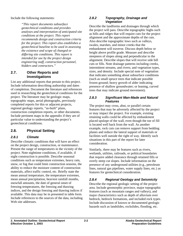<span id="page-11-0"></span>Include the following statements:

*"This report documents subsurface geotechnical conditions and provides analyses and interpretation of anticipated site conditions at the project. This report recommends design and construction criteria for the project. This report also establishes a geotechnical baseline to be used in assessing the existence and scope of changed or differing site conditions. This report is intended for use by the project design engineering staff, construction personnel, bidders and contractors."* 

# **2.7. Other Reports and Investigations**

List any additional reports that pertain to this project. Include information describing authorship and dates of completion. Document the literature and references used in researching the geotechnical conditions for the project. The literature may be geologic maps, topographic maps, aerial photographs, previously completed reports for this or adjacent projects, regional geology reports, "as-built" plans, construction completion reports, or other documents. Include pertinent maps in the appendix if they are of particular value to understanding the project's geotechnical conditions.

# **2.8. Physical Setting**

#### *2.8.1 Climate*

Describe climatic conditions that will have an effect on the project design, construction, or maintenance. Present the range of temperatures in the vicinity of the project. Note nighttime conditions, if available, if night construction is possible. Describe seasonal conditions such as temperature extremes, heavy rain, snow, or fog that could limit construction seasons, the ability to reduce the moisture content of construction materials, affect traffic control, etc. Briefly state the mean annual temperature, the temperature extremes, mean annual precipitation, heaviest rainfall months, snowfall amounts, the date of general onset of freezing temperatures, the freezing and thawing indices, and the design freezing and thawing indices if available. This data may be in presented in table form. Include references to the sources of the data, including Web site addresses.

#### *2.8.2 Topography, Drainage and Vegetation*

Describe the landforms and drainages through which the project will pass. Describe topographic highs such as hills and ridges that will require cuts for the project alignment and the approximate depths of the cuts. Also describe topographic lows such as valleys, swales, marshes, and minor creeks that the embankment will traverse. Discuss depth below or height above profile grade. Measure and describe steepness of slopes along and perpendicular to the alignment. Describe slopes that will receive side hill cuts or fills. Note drainage patterns including creeks, intermittent streams, and rivers; and vegetation types, sizes, and density. Include special note of vegetation that indicates something about subsurface conditions (such as small spruce trees that indicate possible frozen ground; heavy growth of alder indicating presence of shallow groundwater; or leaning, curved trees that may indicate ground movement).

#### *2.8.3 Significant Man-Made and Natural Features*

The project may cross, abut, or parallel certain features that may be adversely affected by the project or may impact the project. For example, existing retaining walls could be affected by embankment placed upslope of the wall, even though the toe of fill is located well back from the wall. As another example, rock cuts can remove support from bedding planes and reduce the lateral support of materials or facilities well outside the right of way. Identify such situations in this part of the report for later consideration.

Similarly, there may be features such as rivers, wetlands, utilities, railroads, or political boundaries that require added clearance through retained fills or overly steep cut slopes. Include information on the presence of any underground utilities (e.g., petroleum lines, natural gas pipelines, water supply lines, etc.) as features for geotechnical consideration.

# *2.8.4 Regional Geology and Seismicity*

Describe the regional geologic setting of the project area. Include geomorphic province, major topographic features (such as mountain ranges and valleys), and major characteristics such as depth of alluvium over bedrock, bedrock formations, and included rock types. Include discussion of known or documented geologic hazards such as landslides, rockslides, flooding, etc.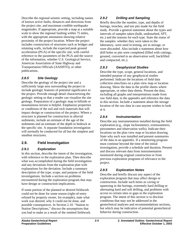<span id="page-12-0"></span>Describe the regional seismic setting, including names of known active faults, distances and directions from the project site, and maximum credible earthquake magnitudes. If appropriate, provide a map at a suitable scale to show the regional faulting within 75 miles, with the appropriate annotation showing relative proximity of the project location. Where the project includes construction of structures such as bridges and retaining walls, include the expected peak ground acceleration (PGA) of the specific site, with careful reference to the parameters of the PGA and the source of the information, whether U.S. Geological Service, American Association of State Highway and Transportation Officials (AASHTO), or other publications.

# *2.8.5 Site Geology*

Describe the geology of the project site and a sufficiently large area surrounding the project to include geologic features of potential significance to the project. Provide enough detail characterizing the geologic setting so that a reader can visualize the site geology. Preparation of a geologic map in hillside or mountainous terrain is helpful. Emphasize properties or conditions of the soil and rock materials that will impact design or construction of the project. Where a structure is planned for construction in alluvial sediments, include an estimate of the age of the sediments and an estimate of the depth to bedrock at the specific site. A separate foundation investigation will normally be conducted for all but the simplest and smallest structures.

# **2.9. Field Investigation**

#### *2.9.1 Exploration*

In this section, describe the intent of the investigation, with reference to the exploration plan. Then describe what was accomplished during the field investigation and any deviations from the exploration plan with explanations for the deviation. Include a summary description of the type, scope, and purpose of the field investigations. Include a section on problems encountered during the exploration program that may have design or construction implications.

If some portion of the planned or desired fieldwork could not be done for some reason (right-of-entry refused by property owner, for example), state what work was desired, why it could not be done, and possible consequences. In Section 2.10. "Station to Station Descriptions," discuss the assumptions that you had to make as a result of the omitted fieldwork.

# *2.9.2 Drilling and Sampling*

Briefly describe the number, type, and depths of borings, trenches, and test pits made for the field study. Provide a general statement about the types and intervals of samples taken (bulk, undisturbed, SPT, etc.) and the reasons for each type. State the status of the samples: whether they were taken to the laboratory, were used in testing, are in storage, or were discarded. Also include a statement about how drill holes or pits were completed (filled with cuttings, grouted, converted to an observation well, backfilled and compacted, etc.).

# *2.9.3 Geophysical Studies*

Describe the type, scope, general locations, and intended purpose of any geophysical studies performed. Indicate the locations of field data collection sites/lines on a plan view map or location drawing. Show the data in the profile sheets where appropriate, or other data sheets. Present the data, including all graphs and interpretations made from raw field data, in the appendix and reference the data in this section. Include a statement about the storage location of the raw data in case anyone wishes to look at it.

# *2.9.4 Instrumentation*

Describe any instrumentation installed during the field exploration (e.g., slope inclinometers, extensometers, piezometers and observation wells). Indicate their locations on the plan view map or location drawing. State why each was installed and present summaries of the data in an appendix. If a monitoring program must continue beyond the time of the initial investigation, provide a schedule and duration. Present and discuss relevant data from instrumentation monitored during original construction or from previous exploration programs of relevance to the project.

# *2.9.5 Exploration Notes*

Describe and briefly discuss any aspect of the exploration program that may affect design or construction. Include such items as caving or squeezing in the borings, extremely hard drilling or alternating hard and soft drilling, and problems with access to certain sites or gaps in the exploration program. The intent of this section is to disclose conditions that may not be addressed in the geotechnical analyses and recommendations sections, but which may be indicative of potential geotechnical behavior during construction.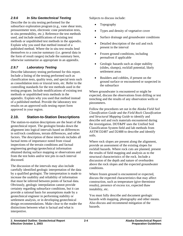# <span id="page-13-0"></span>*2.9.6 In Situ Geotechnical Testing*

Describe the in situ testing performed for the subsurface exploration program (e.g., vane shear tests, pressuremeter tests, electronic cone penetration tests, in situ permeability, etc.). Reference the test methods used, and include modifications of existing test methods or unpublished test methods in the appendix. Explain why you used that method instead of a published method. Where the in situ test results lend themselves to a concise summary (i.e. general data in the form of result ranges) include the summary here, otherwise summarize as appropriate in an appendix.

# *2.9.7 Laboratory Testing*

Describe laboratory testing performed for this report. Include a listing of the testing performed such as classification tests, quality tests, and special tests such as consolidation tests or triaxial tests, etc. Refer to the controlling standards for the test methods used in the testing program. Include modifications of existing test methods or unpublished tests methods in the appendix. Explain why you used that method instead of a published method. Provide the laboratory test results on an approved soils testing report form approved in your region.

# **2.10. Station-to-Station Descriptions**

The station-to-station descriptions are the heart of the geotechnical report. The geologist breaks down the alignment into logical intervals based on differences in soil/rock conditions, terrain differences, and other factors. The description of these intervals includes all factual items of importance noted from visual inspections of the terrain conditions and factual engineering geology/geotechnical information obtained during surface mapping or observations and from the test holes and/or test pits in each interval discussed.

The discussion of the intervals may also include carefully identified geologic interpretation of the data by a qualified geologist. The interpretation is made to increase the usability and reliability of information that must be inferred between points of factual data. Obviously, geologic interpolation cannot provide certainty regarding subsurface conditions, but it can provide a rational basis for assumptions made by a geotechnical engineer in performing stability or settlement analysis, or in developing geotechnical design recommendations. Make clear to the reader the distinctions between what is factual and what is interpretive.

Subjects to discuss include:

- Topography
- Types and density of vegetative cover
- Surface drainage and groundwater conditions
- Detailed description of the soil and rock present in the interval
- Frozen ground conditions, including permafrost if applicable
- Geologic hazards such as slope stability (slides, slumps), rockfall potential, likely settlement areas
- Boulders and cobbles, if present on the ground surface or encountered or suspected in the subsurface

Where groundwater is encountered or might be expected, discuss the observations from drilling or test trenching and the results of any observation wells or piezometers.

Follow the procedures set out in the *Alaska Field Soil Classification Guide* and the *Field Rock Classification and Structural Mapping Guide* to identify and describe soil and rock materials encountered during the investigation. DOT&PF uses the Unified Soil Classification System field and lab methods from ASTM D2487 and D2488 to describe and identify soils.

Where rock slopes are present along the alignment, provide an assessment of the existing slopes for rockfall hazards. Where rock cuts are planned, present the results of field mapping and analysis as to the structural characteristics of the rock. Include a discussion of the depth and nature of overburden above the rock slopes and the expected groundwater conditions.

Where frozen ground is encountered or expected, discuss the expected characteristics that may affect construction, such as temperature (give thermistor results), presence of excess ice, expected thaw instability, etc.

You must fully describe and document geologic hazards with mapping, photography and other means. Also discuss and recommend mitigation of the hazards.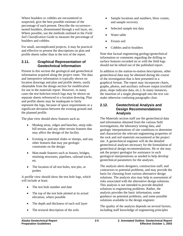<span id="page-14-0"></span>Where boulders or cobbles are encountered or suspected, give the best possible estimate of the percentage of each present. Describe the occurrence– nested boulders, disseminated through a soil layer, etc. Where possible, use the methods outlined in the *Field Soil Classification Guide* to measure the percentage of boulders and cobbles.

For small, uncomplicated projects, it may be practical and effective to present the descriptions on plan and profile sheets rather than in the text of the report.

# **2.11. Graphical Representation of Geotechnical Information**

Present in this section the geological and geotechnical information acquired along the project route. The data and interpretive information is typically shown on location drawings and plan and profile sheets, easily obtainable from the design section for modification for use in the materials report. However, in many cases the test hole/test trench logs may be shown on separate sheets referenced to a location drawing. Plan and profile sheets may be inadequate to fairly represent the logs, because of space requirements or a significant deviation between the existing ground and the planned profile.

The plan view should show features such as:

- Muskeg areas, ridges and benches, steep sidehill terrain, and any other terrain features that may affect the design of the facility
- Existing or potential slides or slumps, and any other features that may put geologic constraints on the design
- Man-made features such as houses, bridges, retaining structures, pipelines, railroad tracks, etc.
- The location of all test holes, test pits, or probes

A profile view should show the test hole logs, which will include at least:

- The test hole number and date
- The top of the test hole plotted at its actual elevation, where possible
- The depth and thickness of each soil layer
- The textural description of the soils
- Sample locations and numbers, blow counts, and sample recovery
- Selected sample test data
- Water table
- Frozen soil
- Cobbles and/or boulders

Note that factual engineering geology/geotechnical information or comments regarding the drilling or surface features recorded on or with the field logs should not be edited out of the published report.

In addition to the station-to-station descriptions, other geotechnical data may be obtained during the course of the investigation that is best presented in a graphical format. The report may incorporate charts, graphs, photos, and auxiliary software output (rockfall plots, slope indicator data, etc.). In many instances, the insertion of a single photograph into the text can make otherwise confusing paragraphs clear.

#### **2.12. Geotechnical Analysis and Design Recommendations Analysis**

The Materials section staff use the geotechnical data and information obtained from the various field investigations, the laboratory testing data, and geologic interpretations of site conditions to determine and characterize the relevant engineering properties of the rock and soil materials encountered at the project site. A geotechnical engineer will do the detailed geotechnical analyses necessary for the formulation of geotechnical design recommendations. He or she may ask the project geologist for assistance in such geological interpretations as needed to help develop geotechnical parameters for the analyses.

The analysis alerts designers, construction staff, and contractors to potential problems, and may provide the basis for choosing from various alternative design solutions. The analysis also may help in assessment of risks associated with the alternative design solutions. This analysis is not intended to provide detailed solutions to engineering problems. Rather, the analysis provides the basic information, some guidance on potential problems, and some possible solutions available to the design engineer.

The quality of the analysis depends on several factors, including staff knowledge of engineering principles